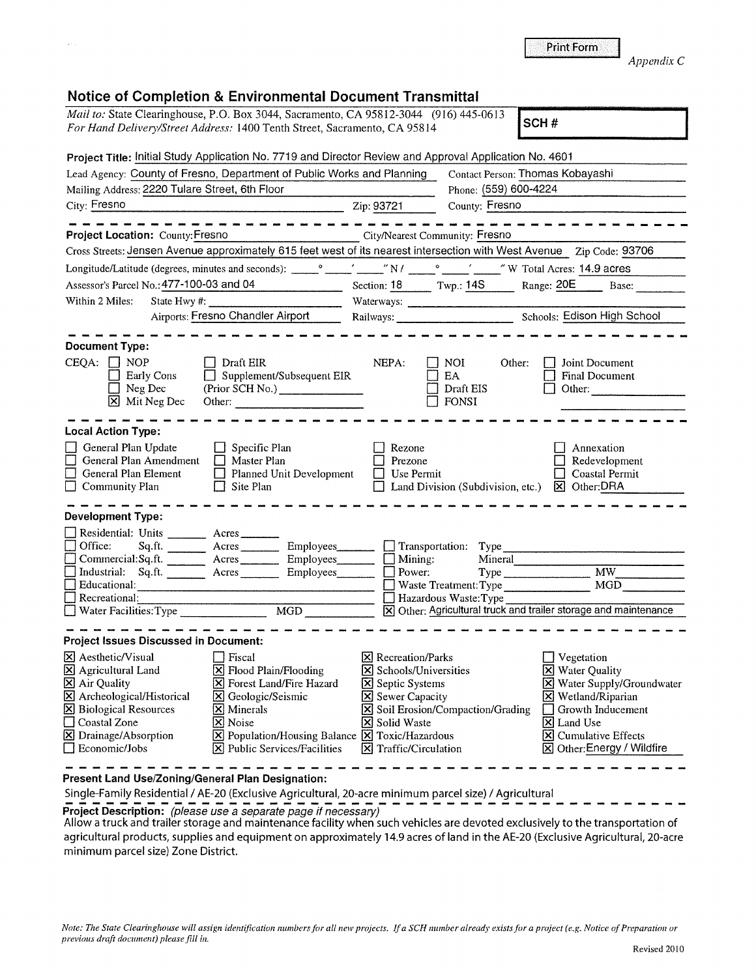|                                                                                         | For Hand Delivery/Street Address: 1400 Tenth Street, Sacramento, CA 95814                                                                                                                                                                                                                                          | Mail to: State Clearinghouse, P.O. Box 3044, Sacramento, CA 95812-3044 (916) 445-0613                                 | SCH#                                                                |
|-----------------------------------------------------------------------------------------|--------------------------------------------------------------------------------------------------------------------------------------------------------------------------------------------------------------------------------------------------------------------------------------------------------------------|-----------------------------------------------------------------------------------------------------------------------|---------------------------------------------------------------------|
|                                                                                         |                                                                                                                                                                                                                                                                                                                    | Project Title: Initial Study Application No. 7719 and Director Review and Approval Application No. 4601               |                                                                     |
|                                                                                         | Lead Agency: County of Fresno, Department of Public Works and Planning                                                                                                                                                                                                                                             |                                                                                                                       | Contact Person: Thomas Kobayashi                                    |
| Mailing Address: 2220 Tulare Street, 6th Floor                                          |                                                                                                                                                                                                                                                                                                                    | Phone: (559) 600-4224                                                                                                 |                                                                     |
| City: Fresno                                                                            |                                                                                                                                                                                                                                                                                                                    | Zip: 93721<br>County: Fresno                                                                                          |                                                                     |
| Project Location: County: Fresno                                                        |                                                                                                                                                                                                                                                                                                                    | City/Nearest Community: Fresno                                                                                        |                                                                     |
|                                                                                         |                                                                                                                                                                                                                                                                                                                    | Cross Streets: Jensen Avenue approximately 615 feet west of its nearest intersection with West Avenue Zip Code: 93706 |                                                                     |
|                                                                                         |                                                                                                                                                                                                                                                                                                                    |                                                                                                                       |                                                                     |
|                                                                                         | Assessor's Parcel No.: 477-100-03 and 04                                                                                                                                                                                                                                                                           | Section: 18 Twp.: 14S Range: 20E Base:                                                                                |                                                                     |
| Within 2 Miles:                                                                         | State Hwy #: $\frac{1}{2}$ $\frac{1}{2}$ $\frac{1}{2}$ $\frac{1}{2}$ $\frac{1}{2}$ $\frac{1}{2}$ $\frac{1}{2}$ $\frac{1}{2}$ $\frac{1}{2}$ $\frac{1}{2}$ $\frac{1}{2}$ $\frac{1}{2}$ $\frac{1}{2}$ $\frac{1}{2}$ $\frac{1}{2}$ $\frac{1}{2}$ $\frac{1}{2}$ $\frac{1}{2}$ $\frac{1}{2}$ $\frac{1}{2}$ $\frac{1}{2}$ |                                                                                                                       |                                                                     |
|                                                                                         | <b>Airports: Fresno Chandler Airport</b>                                                                                                                                                                                                                                                                           |                                                                                                                       |                                                                     |
| <b>Document Type:</b>                                                                   |                                                                                                                                                                                                                                                                                                                    |                                                                                                                       |                                                                     |
| $CEQA:$ $\Box$ NOP<br>Early Cons<br>Neg Dec<br>Mit Neg Dec                              | $\Box$ Draft EIR<br>Supplement/Subsequent EIR<br>(Prior SCH No.) _______________                                                                                                                                                                                                                                   | NEPA:<br>NOI.<br>Other:<br>EA.<br>Draft EIS<br>FONSI                                                                  | Joint Document<br><b>Final Document</b><br>Other:                   |
| <b>Local Action Type:</b>                                                               |                                                                                                                                                                                                                                                                                                                    |                                                                                                                       |                                                                     |
| General Plan Update<br>General Plan Amendment<br>General Plan Element<br>Community Plan | Specific Plan<br>$\Box$<br>Master Plan<br>$\Box$ Planned Unit Development<br>Site Plan                                                                                                                                                                                                                             | Rezone<br>Prezone<br>Use Permit<br>Land Division (Subdivision, etc.)                                                  | Annexation<br>Redevelopment<br>Coastal Permit<br><b>区</b> Other:DRA |
| <b>Development Type:</b>                                                                |                                                                                                                                                                                                                                                                                                                    |                                                                                                                       |                                                                     |
| Residential: Units ________ Acres _____                                                 |                                                                                                                                                                                                                                                                                                                    |                                                                                                                       |                                                                     |
| Office:                                                                                 | Sq.ft. __________ Acres __________ Employees________                                                                                                                                                                                                                                                               | $\Box$ Transportation:<br>Type                                                                                        |                                                                     |
|                                                                                         | Commercial:Sq.ft. ________ Acres __________ Employees_________ [                                                                                                                                                                                                                                                   | Mining:<br>Power:                                                                                                     | Mineral                                                             |
| Industrial: Sq.ft. Acres Employees<br>Educational:                                      |                                                                                                                                                                                                                                                                                                                    | Waste Treatment: Type                                                                                                 | $\overline{M}W$<br>Type<br>MGD                                      |
| Recreational:                                                                           |                                                                                                                                                                                                                                                                                                                    |                                                                                                                       |                                                                     |
| Water Facilities: Type                                                                  | $\overline{\text{MGD}}$                                                                                                                                                                                                                                                                                            | Hazardous Waste: Type                                                                                                 | X Other: Agricultural truck and trailer storage and maintenance     |
| <b>Project Issues Discussed in Document:</b>                                            |                                                                                                                                                                                                                                                                                                                    |                                                                                                                       |                                                                     |
| $\boxtimes$ Aesthetic/Visual                                                            | Fiscal                                                                                                                                                                                                                                                                                                             | $\boxtimes$ Recreation/Parks                                                                                          | Vegetation                                                          |
| $[\times]$ Agricultural Land                                                            | ⊠ Flood Plain/Flooding                                                                                                                                                                                                                                                                                             | X Schools/Universities                                                                                                | <b>X</b> Water Quality                                              |
| X Air Quality                                                                           | Forest Land/Fire Hazard<br>IХ                                                                                                                                                                                                                                                                                      | <b>X</b> Septic Systems                                                                                               | Water Supply/Groundwater                                            |
| X Archeological/Historical                                                              | S Geologic/Seismic                                                                                                                                                                                                                                                                                                 | <b>X</b> Sewer Capacity                                                                                               | $\boxtimes$ Wetland/Riparian                                        |
| <b>X</b> Biological Resources<br>Coastal Zone                                           | $\mathbf{X}$ Minerals<br>X Noise                                                                                                                                                                                                                                                                                   | Soil Erosion/Compaction/Grading<br><b>X</b> Solid Waste                                                               | Growth Inducement<br>X Land Use                                     |
|                                                                                         |                                                                                                                                                                                                                                                                                                                    |                                                                                                                       |                                                                     |
| $\Sigma$ Drainage/Absorption                                                            | $\boxtimes$ Population/Housing Balance $\boxtimes$ Toxic/Hazardous                                                                                                                                                                                                                                                 |                                                                                                                       | <b>Cumulative Effects</b><br>l×l                                    |

**Present Land Use/Zoning/General Plan Designation:** 

Single-Family Residential/ AE-20 (Exclusive Agricultural, 20-acre minimum parcel size)/ Agricultural **Project Description:** (please use a separate page if necessary)

Allow a truck and trailer storage and maintenance facility when such vehicles are devoted exclusively to the transportation of agricultural products, supplies and equipment on approximately 14.9 acres of land in the AE-20 (Exclusive Agricultural, 20-acre minimum parcel size) Zone District.

*Appendix* C

Print Form

| ٠<br>с |  |
|--------|--|
|        |  |
|        |  |
|        |  |
|        |  |
|        |  |